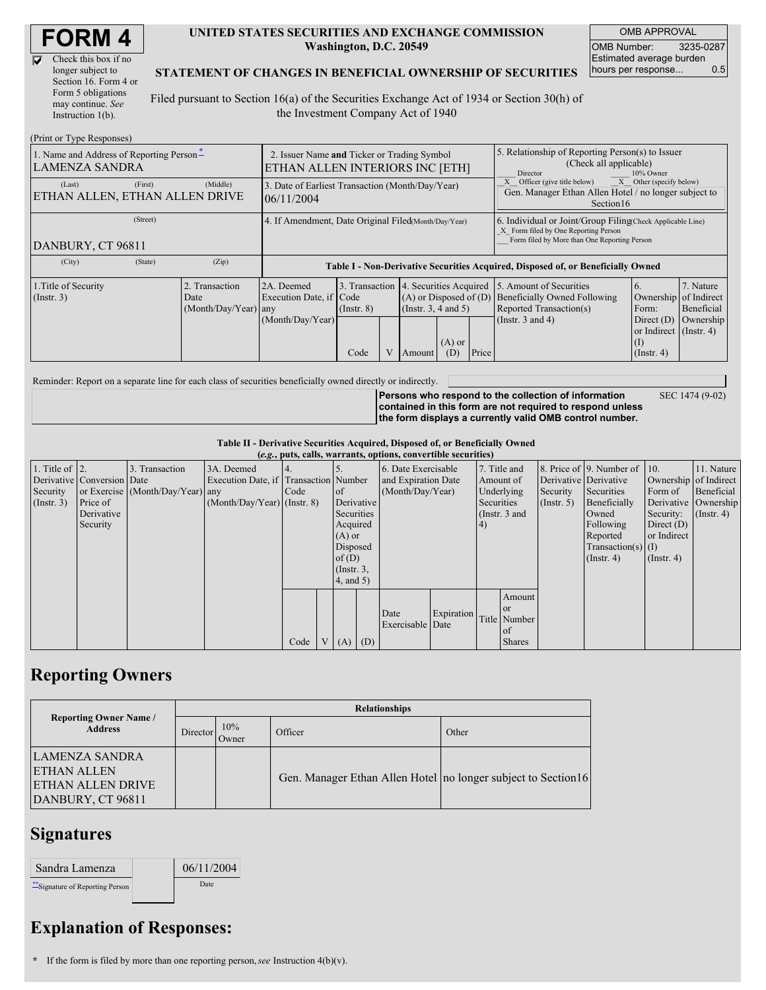| <b>FORM4</b> |  |
|--------------|--|
|--------------|--|

| Check this box if no  |
|-----------------------|
| longer subject to     |
| Section 16. Form 4 or |
| Form 5 obligations    |
| may continue. See     |
| Instruction $1(b)$ .  |

 $(Drint or Trma D)$ 

M

### **UNITED STATES SECURITIES AND EXCHANGE COMMISSION Washington, D.C. 20549**

OMB APPROVAL OMB Number: 3235-0287 Estimated average burden hours per response... 0.5

SEC 1474 (9-02)

### **STATEMENT OF CHANGES IN BENEFICIAL OWNERSHIP OF SECURITIES**

Filed pursuant to Section 16(a) of the Securities Exchange Act of 1934 or Section 30(h) of the Investment Company Act of 1940

| $(1 \text{ min of 1 ypc }$ <i>NGSPOIISGS</i><br>1. Name and Address of Reporting Person-<br><b>LAMENZA SANDRA</b> | 2. Issuer Name and Ticker or Trading Symbol<br>ETHAN ALLEN INTERIORS INC [ETH] |                                                |                                                                 |                         |  |                                | 5. Relationship of Reporting Person(s) to Issuer<br>(Check all applicable)<br>Director<br>10% Owner |       |                                                                                                                                                                               |                                                                                                       |                                                     |  |
|-------------------------------------------------------------------------------------------------------------------|--------------------------------------------------------------------------------|------------------------------------------------|-----------------------------------------------------------------|-------------------------|--|--------------------------------|-----------------------------------------------------------------------------------------------------|-------|-------------------------------------------------------------------------------------------------------------------------------------------------------------------------------|-------------------------------------------------------------------------------------------------------|-----------------------------------------------------|--|
| (Last)<br>ETHAN ALLEN, ETHAN ALLEN DRIVE                                                                          | (First)                                                                        | (Middle)                                       | 3. Date of Earliest Transaction (Month/Day/Year)<br>106/11/2004 |                         |  |                                |                                                                                                     |       | Officer (give title below)<br>X<br>Other (specify below)<br>Gen. Manager Ethan Allen Hotel / no longer subject to<br>Section 16                                               |                                                                                                       |                                                     |  |
| (Street)<br>DANBURY, CT 96811                                                                                     |                                                                                |                                                | 4. If Amendment, Date Original Filed Month/Day/Year)            |                         |  |                                |                                                                                                     |       | 6. Individual or Joint/Group Filing Check Applicable Line)<br>X Form filed by One Reporting Person<br>Form filed by More than One Reporting Person                            |                                                                                                       |                                                     |  |
| (City)                                                                                                            | (State)                                                                        | (Zip)                                          |                                                                 |                         |  |                                |                                                                                                     |       | Table I - Non-Derivative Securities Acquired, Disposed of, or Beneficially Owned                                                                                              |                                                                                                       |                                                     |  |
| 1. Title of Security<br>$($ Instr. 3 $)$                                                                          |                                                                                | 2. Transaction<br>Date<br>(Month/Day/Year) any | 2A. Deemed<br>Execution Date, if Code<br>(Month/Day/Year)       | $($ Instr. $8)$<br>Code |  | (Insert. 3, 4 and 5)<br>Amount | $(A)$ or<br>(D)                                                                                     | Price | 3. Transaction 4. Securities Acquired 15. Amount of Securities<br>$(A)$ or Disposed of $(D)$ Beneficially Owned Following<br>Reported Transaction(s)<br>(Instr. $3$ and $4$ ) | Ownership<br>Form:<br>Direct $(D)$<br>or Indirect (Instr. 4)<br>$\left( 1\right)$<br>$($ Instr. 4 $)$ | 7. Nature<br>of Indirect<br>Beneficial<br>Ownership |  |

Reminder: Report on a separate line for each class of securities beneficially owned directly or indirectly.

**Persons who respond to the collection of information contained in this form are not required to respond unless the form displays a currently valid OMB control number.**

#### **Table II - Derivative Securities Acquired, Disposed of, or Beneficially Owned**

| (e.g., puts, calls, warrants, options, convertible securities) |                            |                                  |                                       |      |  |                 |                     |                  |                         |            |                 |                       |                              |                      |                  |
|----------------------------------------------------------------|----------------------------|----------------------------------|---------------------------------------|------|--|-----------------|---------------------|------------------|-------------------------|------------|-----------------|-----------------------|------------------------------|----------------------|------------------|
| 1. Title of $\vert$ 2.                                         |                            | 3. Transaction                   | 3A. Deemed                            |      |  |                 |                     |                  | 6. Date Exercisable     |            | 7. Title and    |                       | 8. Price of 9. Number of 10. |                      | 11. Nature       |
|                                                                | Derivative Conversion Date |                                  | Execution Date, if Transaction Number |      |  |                 | and Expiration Date |                  | Amount of               |            |                 | Derivative Derivative | Ownership of Indirect        |                      |                  |
| Security                                                       |                            | or Exercise (Month/Day/Year) any |                                       | Code |  | of              | (Month/Day/Year)    |                  |                         | Underlying | Security        | Securities            | Form of                      | Beneficial           |                  |
| $($ Instr. 3 $)$                                               | Price of                   |                                  | $(Month/Day/Year)$ (Instr. 8)         |      |  | Derivative      |                     |                  |                         | Securities |                 | $($ Instr. 5 $)$      | Beneficially                 | Derivative Ownership |                  |
|                                                                | Derivative                 |                                  |                                       |      |  | Securities      |                     |                  |                         |            | (Instr. $3$ and |                       | Owned                        | Security:            | $($ Instr. 4 $)$ |
|                                                                | Security                   |                                  |                                       |      |  | Acquired        |                     |                  |                         | $\vert 4)$ |                 |                       | Following                    | Direct $(D)$         |                  |
|                                                                |                            |                                  |                                       |      |  | $(A)$ or        |                     |                  |                         |            |                 |                       | Reported                     | or Indirect          |                  |
|                                                                |                            |                                  |                                       |      |  | Disposed        |                     |                  |                         |            |                 |                       | $Transaction(s)$ (I)         |                      |                  |
|                                                                |                            |                                  |                                       |      |  | of $(D)$        |                     |                  |                         |            |                 |                       | $($ Instr. 4 $)$             | $($ Instr. 4 $)$     |                  |
|                                                                |                            |                                  |                                       |      |  | $($ Instr. $3,$ |                     |                  |                         |            |                 |                       |                              |                      |                  |
|                                                                |                            |                                  |                                       |      |  | $4$ , and $5$ ) |                     |                  |                         |            |                 |                       |                              |                      |                  |
|                                                                |                            |                                  |                                       |      |  |                 |                     |                  |                         |            | Amount          |                       |                              |                      |                  |
|                                                                |                            |                                  |                                       |      |  |                 |                     |                  |                         |            |                 |                       |                              |                      |                  |
|                                                                |                            |                                  |                                       |      |  |                 |                     | Date             | Expiration Title Number |            |                 |                       |                              |                      |                  |
|                                                                |                            |                                  |                                       |      |  |                 |                     | Exercisable Date |                         | of         |                 |                       |                              |                      |                  |
|                                                                |                            |                                  |                                       | Code |  | $V(A)$ (D)      |                     |                  |                         |            | <b>Shares</b>   |                       |                              |                      |                  |

## **Reporting Owners**

|                                                                                        | <b>Relationships</b> |              |                                                                |       |  |  |  |  |  |
|----------------------------------------------------------------------------------------|----------------------|--------------|----------------------------------------------------------------|-------|--|--|--|--|--|
| <b>Reporting Owner Name /</b><br><b>Address</b>                                        | Director             | 10%<br>Owner | Officer                                                        | Other |  |  |  |  |  |
| ILAMENZA SANDRA<br><b>ETHAN ALLEN</b><br><b>ETHAN ALLEN DRIVE</b><br>DANBURY, CT 96811 |                      |              | Gen. Manager Ethan Allen Hotel no longer subject to Section 16 |       |  |  |  |  |  |

## **Signatures**

| Sandra Lamenza                    | 06/11/2004 |
|-----------------------------------|------------|
| *** Signature of Reporting Person | Date       |

# **Explanation of Responses:**

**\*** If the form is filed by more than one reporting person,*see* Instruction 4(b)(v).